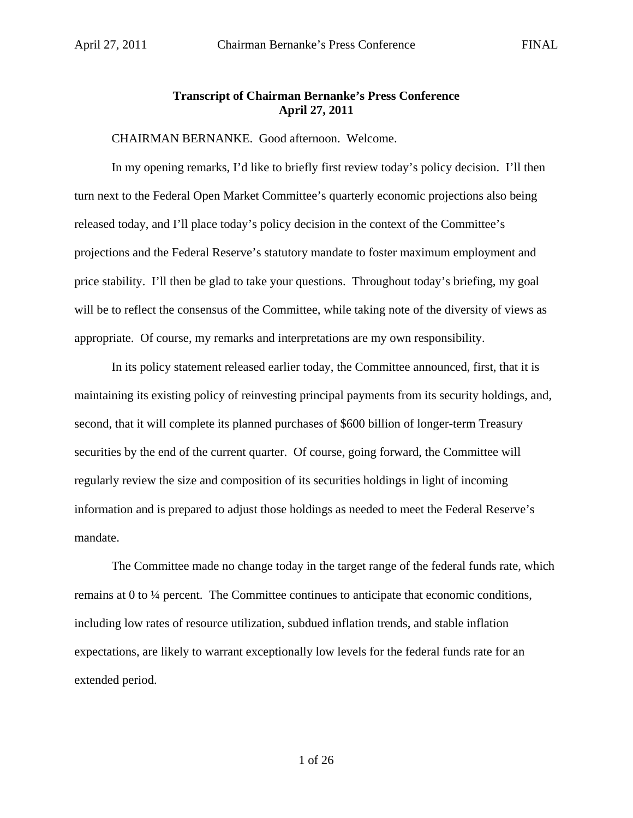## **Transcript of Chairman Bernanke's Press Conference April 27, 2011**

CHAIRMAN BERNANKE. Good afternoon. Welcome.

In my opening remarks, I'd like to briefly first review today's policy decision. I'll then turn next to the Federal Open Market Committee's quarterly economic projections also being released today, and I'll place today's policy decision in the context of the Committee's projections and the Federal Reserve's statutory mandate to foster maximum employment and price stability. I'll then be glad to take your questions. Throughout today's briefing, my goal will be to reflect the consensus of the Committee, while taking note of the diversity of views as appropriate. Of course, my remarks and interpretations are my own responsibility.

In its policy statement released earlier today, the Committee announced, first, that it is maintaining its existing policy of reinvesting principal payments from its security holdings, and, second, that it will complete its planned purchases of \$600 billion of longer-term Treasury securities by the end of the current quarter. Of course, going forward, the Committee will regularly review the size and composition of its securities holdings in light of incoming information and is prepared to adjust those holdings as needed to meet the Federal Reserve's mandate.

The Committee made no change today in the target range of the federal funds rate, which remains at 0 to ¼ percent. The Committee continues to anticipate that economic conditions, including low rates of resource utilization, subdued inflation trends, and stable inflation expectations, are likely to warrant exceptionally low levels for the federal funds rate for an extended period.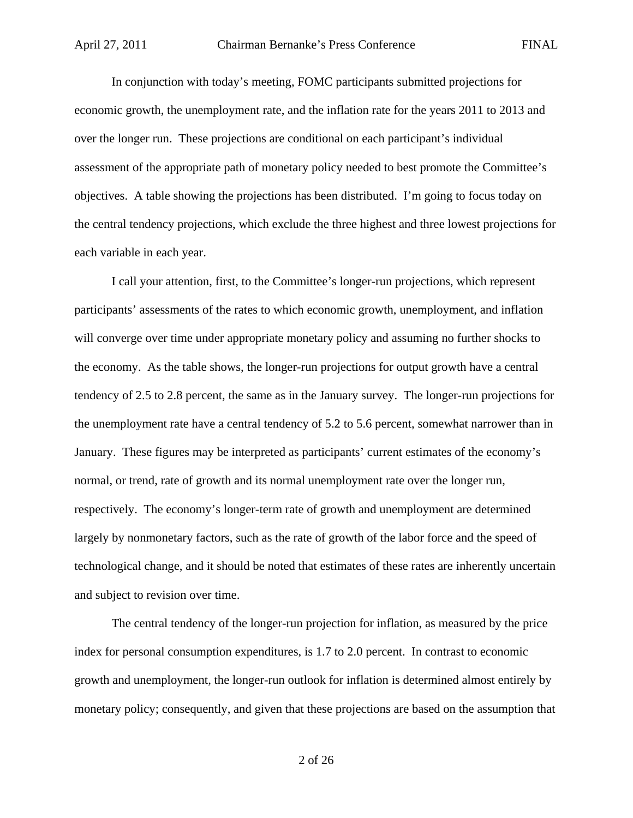In conjunction with today's meeting, FOMC participants submitted projections for economic growth, the unemployment rate, and the inflation rate for the years 2011 to 2013 and over the longer run. These projections are conditional on each participant's individual assessment of the appropriate path of monetary policy needed to best promote the Committee's objectives. A table showing the projections has been distributed. I'm going to focus today on the central tendency projections, which exclude the three highest and three lowest projections for each variable in each year.

I call your attention, first, to the Committee's longer-run projections, which represent participants' assessments of the rates to which economic growth, unemployment, and inflation will converge over time under appropriate monetary policy and assuming no further shocks to the economy. As the table shows, the longer-run projections for output growth have a central tendency of 2.5 to 2.8 percent, the same as in the January survey. The longer-run projections for the unemployment rate have a central tendency of 5.2 to 5.6 percent, somewhat narrower than in January. These figures may be interpreted as participants' current estimates of the economy's normal, or trend, rate of growth and its normal unemployment rate over the longer run, respectively. The economy's longer-term rate of growth and unemployment are determined largely by nonmonetary factors, such as the rate of growth of the labor force and the speed of technological change, and it should be noted that estimates of these rates are inherently uncertain and subject to revision over time.

The central tendency of the longer-run projection for inflation, as measured by the price index for personal consumption expenditures, is 1.7 to 2.0 percent. In contrast to economic growth and unemployment, the longer-run outlook for inflation is determined almost entirely by monetary policy; consequently, and given that these projections are based on the assumption that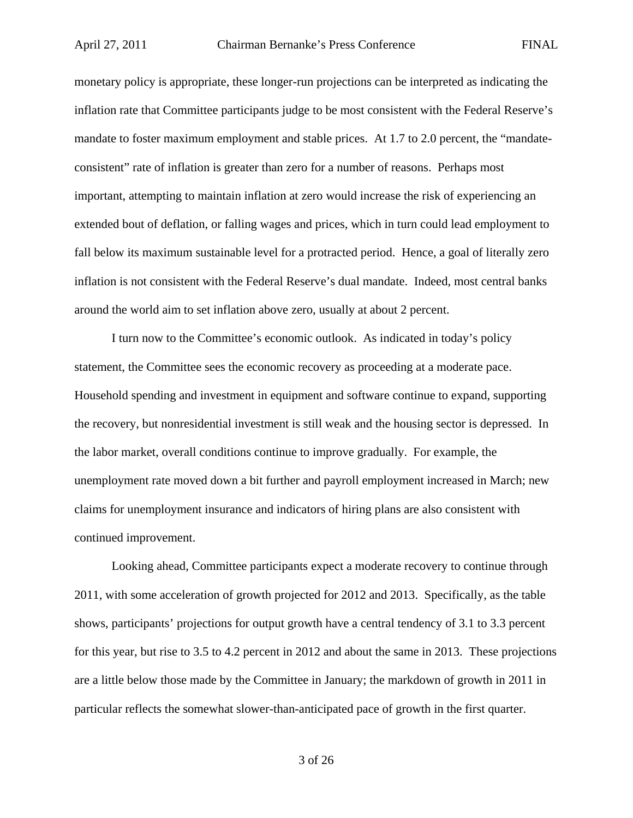monetary policy is appropriate, these longer-run projections can be interpreted as indicating the inflation rate that Committee participants judge to be most consistent with the Federal Reserve's mandate to foster maximum employment and stable prices. At 1.7 to 2.0 percent, the "mandateconsistent" rate of inflation is greater than zero for a number of reasons. Perhaps most important, attempting to maintain inflation at zero would increase the risk of experiencing an extended bout of deflation, or falling wages and prices, which in turn could lead employment to fall below its maximum sustainable level for a protracted period. Hence, a goal of literally zero inflation is not consistent with the Federal Reserve's dual mandate. Indeed, most central banks around the world aim to set inflation above zero, usually at about 2 percent.

I turn now to the Committee's economic outlook. As indicated in today's policy statement, the Committee sees the economic recovery as proceeding at a moderate pace. Household spending and investment in equipment and software continue to expand, supporting the recovery, but nonresidential investment is still weak and the housing sector is depressed. In the labor market, overall conditions continue to improve gradually. For example, the unemployment rate moved down a bit further and payroll employment increased in March; new claims for unemployment insurance and indicators of hiring plans are also consistent with continued improvement.

Looking ahead, Committee participants expect a moderate recovery to continue through 2011, with some acceleration of growth projected for 2012 and 2013. Specifically, as the table shows, participants' projections for output growth have a central tendency of 3.1 to 3.3 percent for this year, but rise to 3.5 to 4.2 percent in 2012 and about the same in 2013. These projections are a little below those made by the Committee in January; the markdown of growth in 2011 in particular reflects the somewhat slower-than-anticipated pace of growth in the first quarter.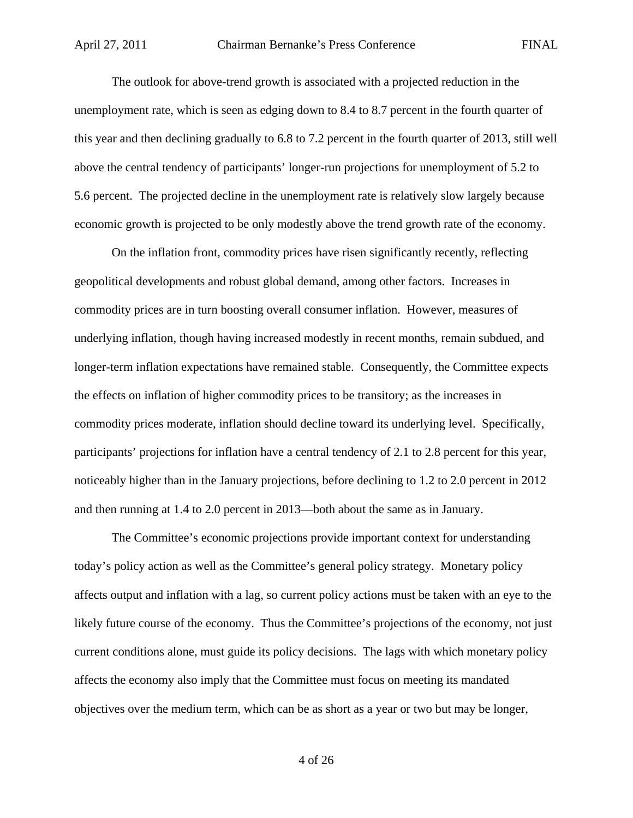The outlook for above-trend growth is associated with a projected reduction in the unemployment rate, which is seen as edging down to 8.4 to 8.7 percent in the fourth quarter of this year and then declining gradually to 6.8 to 7.2 percent in the fourth quarter of 2013, still well above the central tendency of participants' longer-run projections for unemployment of 5.2 to 5.6 percent. The projected decline in the unemployment rate is relatively slow largely because economic growth is projected to be only modestly above the trend growth rate of the economy.

On the inflation front, commodity prices have risen significantly recently, reflecting geopolitical developments and robust global demand, among other factors. Increases in commodity prices are in turn boosting overall consumer inflation. However, measures of underlying inflation, though having increased modestly in recent months, remain subdued, and longer-term inflation expectations have remained stable. Consequently, the Committee expects the effects on inflation of higher commodity prices to be transitory; as the increases in commodity prices moderate, inflation should decline toward its underlying level. Specifically, participants' projections for inflation have a central tendency of 2.1 to 2.8 percent for this year, noticeably higher than in the January projections, before declining to 1.2 to 2.0 percent in 2012 and then running at 1.4 to 2.0 percent in 2013—both about the same as in January.

The Committee's economic projections provide important context for understanding today's policy action as well as the Committee's general policy strategy. Monetary policy affects output and inflation with a lag, so current policy actions must be taken with an eye to the likely future course of the economy. Thus the Committee's projections of the economy, not just current conditions alone, must guide its policy decisions. The lags with which monetary policy affects the economy also imply that the Committee must focus on meeting its mandated objectives over the medium term, which can be as short as a year or two but may be longer,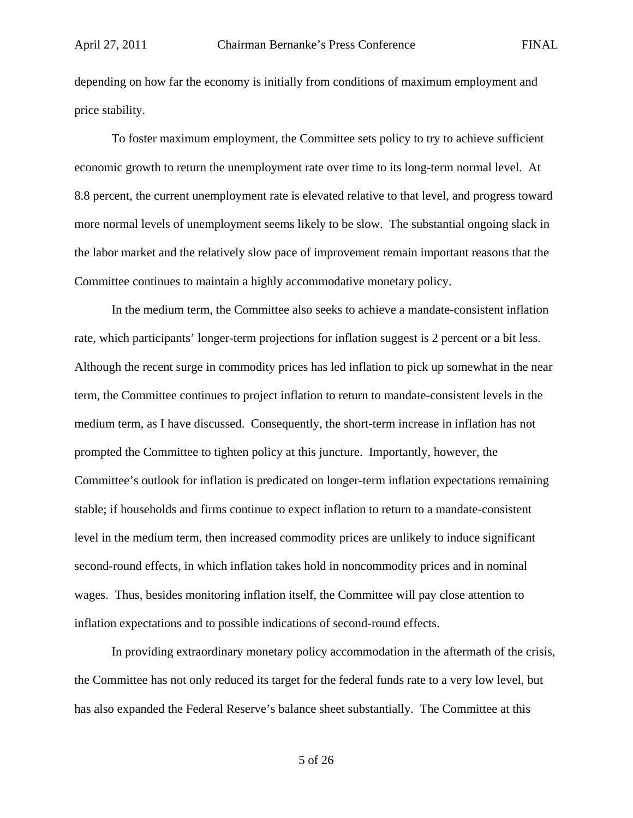depending on how far the economy is initially from conditions of maximum employment and price stability.

To foster maximum employment, the Committee sets policy to try to achieve sufficient economic growth to return the unemployment rate over time to its long-term normal level. At 8.8 percent, the current unemployment rate is elevated relative to that level, and progress toward more normal levels of unemployment seems likely to be slow. The substantial ongoing slack in the labor market and the relatively slow pace of improvement remain important reasons that the Committee continues to maintain a highly accommodative monetary policy.

In the medium term, the Committee also seeks to achieve a mandate-consistent inflation rate, which participants' longer-term projections for inflation suggest is 2 percent or a bit less. Although the recent surge in commodity prices has led inflation to pick up somewhat in the near term, the Committee continues to project inflation to return to mandate-consistent levels in the medium term, as I have discussed. Consequently, the short-term increase in inflation has not prompted the Committee to tighten policy at this juncture. Importantly, however, the Committee's outlook for inflation is predicated on longer-term inflation expectations remaining stable; if households and firms continue to expect inflation to return to a mandate-consistent level in the medium term, then increased commodity prices are unlikely to induce significant second-round effects, in which inflation takes hold in noncommodity prices and in nominal wages. Thus, besides monitoring inflation itself, the Committee will pay close attention to inflation expectations and to possible indications of second-round effects.

In providing extraordinary monetary policy accommodation in the aftermath of the crisis, the Committee has not only reduced its target for the federal funds rate to a very low level, but has also expanded the Federal Reserve's balance sheet substantially. The Committee at this

5 of 26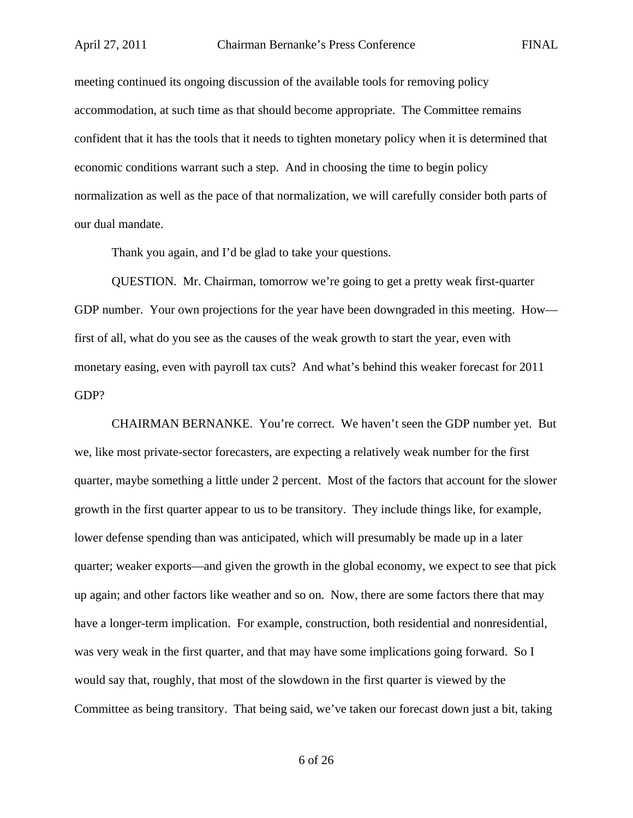meeting continued its ongoing discussion of the available tools for removing policy accommodation, at such time as that should become appropriate. The Committee remains confident that it has the tools that it needs to tighten monetary policy when it is determined that economic conditions warrant such a step. And in choosing the time to begin policy normalization as well as the pace of that normalization, we will carefully consider both parts of our dual mandate.

Thank you again, and I'd be glad to take your questions.

QUESTION. Mr. Chairman, tomorrow we're going to get a pretty weak first-quarter GDP number. Your own projections for the year have been downgraded in this meeting. How first of all, what do you see as the causes of the weak growth to start the year, even with monetary easing, even with payroll tax cuts? And what's behind this weaker forecast for 2011 GDP?

CHAIRMAN BERNANKE. You're correct. We haven't seen the GDP number yet. But we, like most private-sector forecasters, are expecting a relatively weak number for the first quarter, maybe something a little under 2 percent. Most of the factors that account for the slower growth in the first quarter appear to us to be transitory. They include things like, for example, lower defense spending than was anticipated, which will presumably be made up in a later quarter; weaker exports—and given the growth in the global economy, we expect to see that pick up again; and other factors like weather and so on. Now, there are some factors there that may have a longer-term implication. For example, construction, both residential and nonresidential, was very weak in the first quarter, and that may have some implications going forward. So I would say that, roughly, that most of the slowdown in the first quarter is viewed by the Committee as being transitory. That being said, we've taken our forecast down just a bit, taking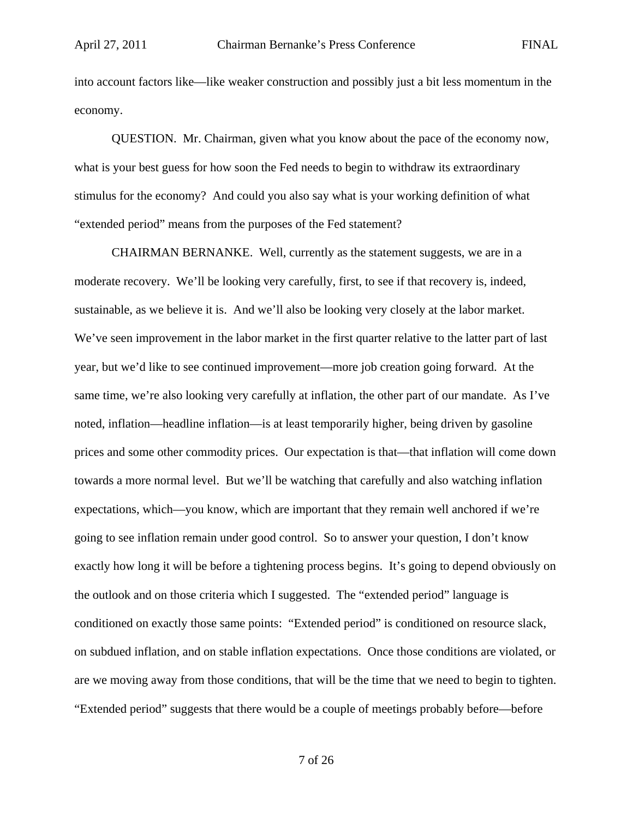into account factors like—like weaker construction and possibly just a bit less momentum in the economy.

QUESTION. Mr. Chairman, given what you know about the pace of the economy now, what is your best guess for how soon the Fed needs to begin to withdraw its extraordinary stimulus for the economy? And could you also say what is your working definition of what "extended period" means from the purposes of the Fed statement?

CHAIRMAN BERNANKE. Well, currently as the statement suggests, we are in a moderate recovery. We'll be looking very carefully, first, to see if that recovery is, indeed, sustainable, as we believe it is. And we'll also be looking very closely at the labor market. We've seen improvement in the labor market in the first quarter relative to the latter part of last year, but we'd like to see continued improvement—more job creation going forward. At the same time, we're also looking very carefully at inflation, the other part of our mandate. As I've noted, inflation—headline inflation—is at least temporarily higher, being driven by gasoline prices and some other commodity prices. Our expectation is that—that inflation will come down towards a more normal level. But we'll be watching that carefully and also watching inflation expectations, which—you know, which are important that they remain well anchored if we're going to see inflation remain under good control. So to answer your question, I don't know exactly how long it will be before a tightening process begins. It's going to depend obviously on the outlook and on those criteria which I suggested. The "extended period" language is conditioned on exactly those same points: "Extended period" is conditioned on resource slack, on subdued inflation, and on stable inflation expectations. Once those conditions are violated, or are we moving away from those conditions, that will be the time that we need to begin to tighten. "Extended period" suggests that there would be a couple of meetings probably before—before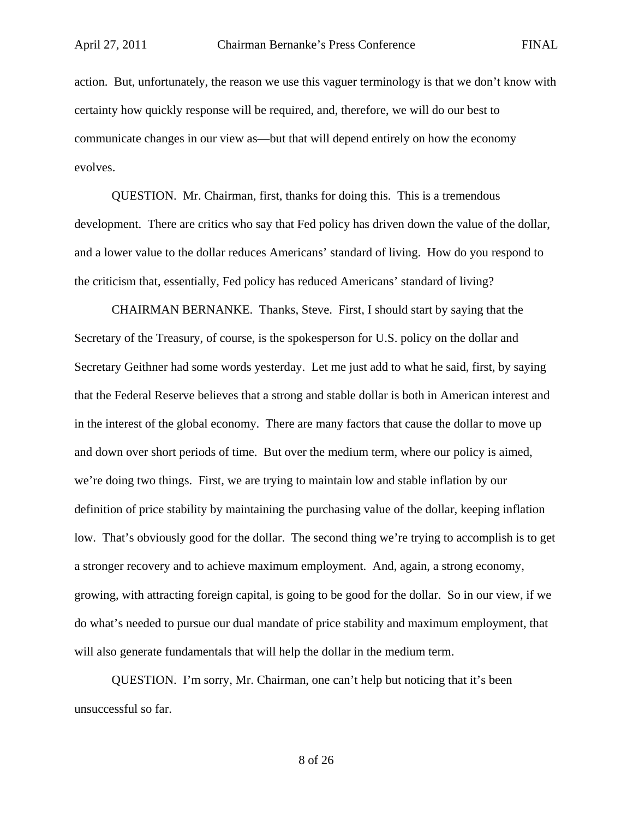action. But, unfortunately, the reason we use this vaguer terminology is that we don't know with certainty how quickly response will be required, and, therefore, we will do our best to communicate changes in our view as—but that will depend entirely on how the economy evolves.

QUESTION. Mr. Chairman, first, thanks for doing this. This is a tremendous development. There are critics who say that Fed policy has driven down the value of the dollar, and a lower value to the dollar reduces Americans' standard of living. How do you respond to the criticism that, essentially, Fed policy has reduced Americans' standard of living?

CHAIRMAN BERNANKE. Thanks, Steve. First, I should start by saying that the Secretary of the Treasury, of course, is the spokesperson for U.S. policy on the dollar and Secretary Geithner had some words yesterday. Let me just add to what he said, first, by saying that the Federal Reserve believes that a strong and stable dollar is both in American interest and in the interest of the global economy. There are many factors that cause the dollar to move up and down over short periods of time. But over the medium term, where our policy is aimed, we're doing two things. First, we are trying to maintain low and stable inflation by our definition of price stability by maintaining the purchasing value of the dollar, keeping inflation low. That's obviously good for the dollar. The second thing we're trying to accomplish is to get a stronger recovery and to achieve maximum employment. And, again, a strong economy, growing, with attracting foreign capital, is going to be good for the dollar. So in our view, if we do what's needed to pursue our dual mandate of price stability and maximum employment, that will also generate fundamentals that will help the dollar in the medium term.

QUESTION. I'm sorry, Mr. Chairman, one can't help but noticing that it's been unsuccessful so far.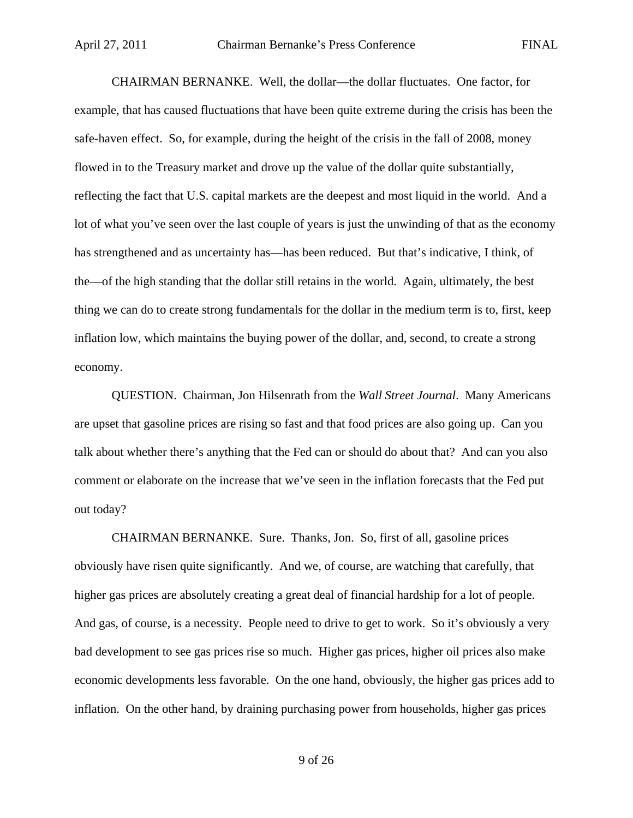CHAIRMAN BERNANKE. Well, the dollar—the dollar fluctuates. One factor, for example, that has caused fluctuations that have been quite extreme during the crisis has been the safe-haven effect. So, for example, during the height of the crisis in the fall of 2008, money flowed in to the Treasury market and drove up the value of the dollar quite substantially, reflecting the fact that U.S. capital markets are the deepest and most liquid in the world. And a lot of what you've seen over the last couple of years is just the unwinding of that as the economy has strengthened and as uncertainty has—has been reduced. But that's indicative, I think, of the—of the high standing that the dollar still retains in the world. Again, ultimately, the best thing we can do to create strong fundamentals for the dollar in the medium term is to, first, keep inflation low, which maintains the buying power of the dollar, and, second, to create a strong economy.

QUESTION. Chairman, Jon Hilsenrath from the *Wall Street Journal*. Many Americans are upset that gasoline prices are rising so fast and that food prices are also going up. Can you talk about whether there's anything that the Fed can or should do about that? And can you also comment or elaborate on the increase that we've seen in the inflation forecasts that the Fed put out today?

CHAIRMAN BERNANKE. Sure. Thanks, Jon. So, first of all, gasoline prices obviously have risen quite significantly. And we, of course, are watching that carefully, that higher gas prices are absolutely creating a great deal of financial hardship for a lot of people. And gas, of course, is a necessity. People need to drive to get to work. So it's obviously a very bad development to see gas prices rise so much. Higher gas prices, higher oil prices also make economic developments less favorable. On the one hand, obviously, the higher gas prices add to inflation. On the other hand, by draining purchasing power from households, higher gas prices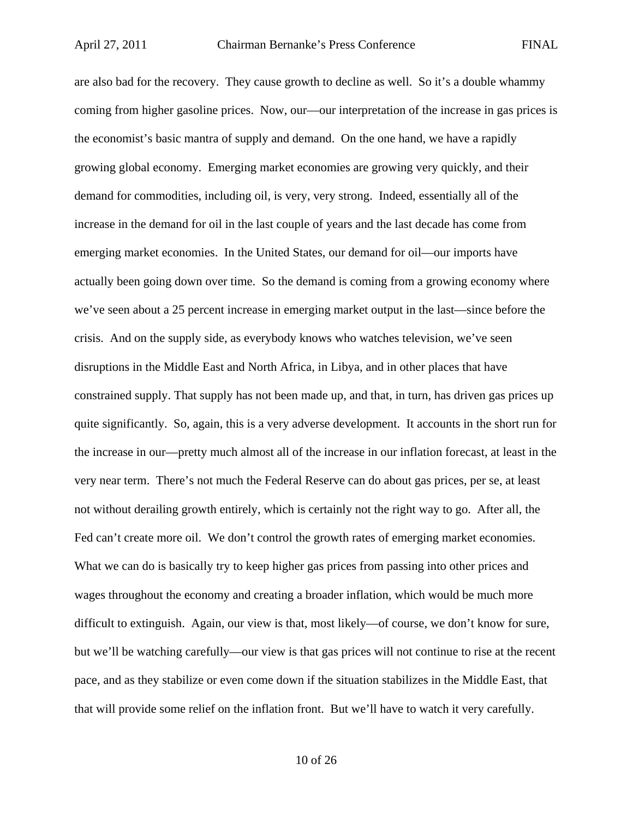are also bad for the recovery. They cause growth to decline as well. So it's a double whammy coming from higher gasoline prices. Now, our—our interpretation of the increase in gas prices is the economist's basic mantra of supply and demand. On the one hand, we have a rapidly growing global economy. Emerging market economies are growing very quickly, and their demand for commodities, including oil, is very, very strong. Indeed, essentially all of the increase in the demand for oil in the last couple of years and the last decade has come from emerging market economies. In the United States, our demand for oil—our imports have actually been going down over time. So the demand is coming from a growing economy where we've seen about a 25 percent increase in emerging market output in the last—since before the crisis. And on the supply side, as everybody knows who watches television, we've seen disruptions in the Middle East and North Africa, in Libya, and in other places that have constrained supply. That supply has not been made up, and that, in turn, has driven gas prices up quite significantly. So, again, this is a very adverse development. It accounts in the short run for the increase in our—pretty much almost all of the increase in our inflation forecast, at least in the very near term. There's not much the Federal Reserve can do about gas prices, per se, at least not without derailing growth entirely, which is certainly not the right way to go. After all, the Fed can't create more oil. We don't control the growth rates of emerging market economies. What we can do is basically try to keep higher gas prices from passing into other prices and wages throughout the economy and creating a broader inflation, which would be much more difficult to extinguish. Again, our view is that, most likely—of course, we don't know for sure, but we'll be watching carefully—our view is that gas prices will not continue to rise at the recent pace, and as they stabilize or even come down if the situation stabilizes in the Middle East, that that will provide some relief on the inflation front. But we'll have to watch it very carefully.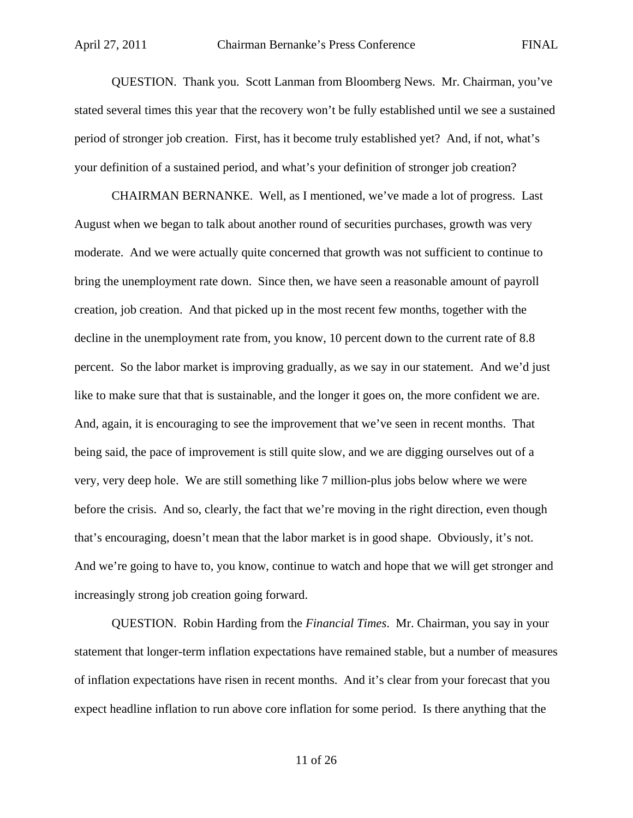QUESTION. Thank you. Scott Lanman from Bloomberg News. Mr. Chairman, you've stated several times this year that the recovery won't be fully established until we see a sustained period of stronger job creation. First, has it become truly established yet? And, if not, what's your definition of a sustained period, and what's your definition of stronger job creation?

CHAIRMAN BERNANKE. Well, as I mentioned, we've made a lot of progress. Last August when we began to talk about another round of securities purchases, growth was very moderate. And we were actually quite concerned that growth was not sufficient to continue to bring the unemployment rate down. Since then, we have seen a reasonable amount of payroll creation, job creation. And that picked up in the most recent few months, together with the decline in the unemployment rate from, you know, 10 percent down to the current rate of 8.8 percent. So the labor market is improving gradually, as we say in our statement. And we'd just like to make sure that that is sustainable, and the longer it goes on, the more confident we are. And, again, it is encouraging to see the improvement that we've seen in recent months. That being said, the pace of improvement is still quite slow, and we are digging ourselves out of a very, very deep hole. We are still something like 7 million-plus jobs below where we were before the crisis. And so, clearly, the fact that we're moving in the right direction, even though that's encouraging, doesn't mean that the labor market is in good shape. Obviously, it's not. And we're going to have to, you know, continue to watch and hope that we will get stronger and increasingly strong job creation going forward.

QUESTION. Robin Harding from the *Financial Times*. Mr. Chairman, you say in your statement that longer-term inflation expectations have remained stable, but a number of measures of inflation expectations have risen in recent months. And it's clear from your forecast that you expect headline inflation to run above core inflation for some period. Is there anything that the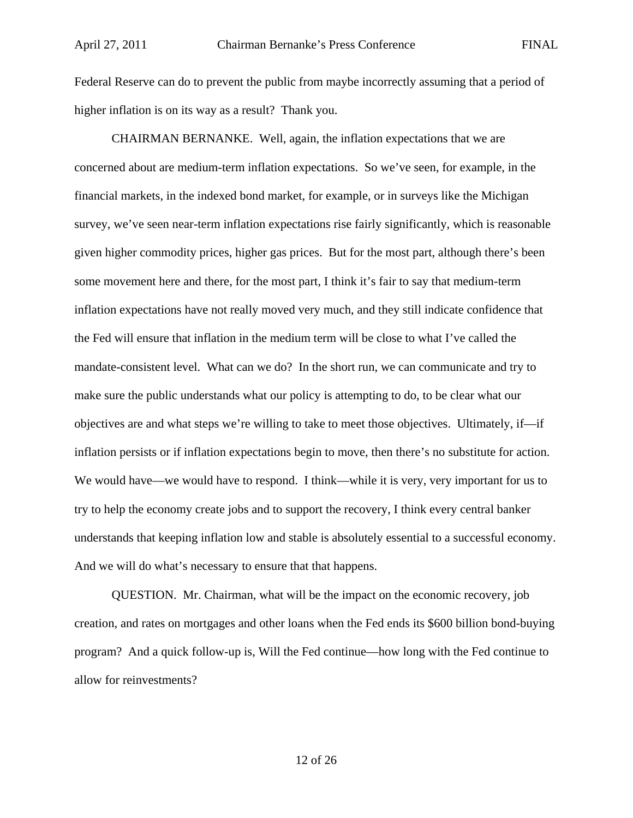Federal Reserve can do to prevent the public from maybe incorrectly assuming that a period of higher inflation is on its way as a result? Thank you.

CHAIRMAN BERNANKE. Well, again, the inflation expectations that we are concerned about are medium-term inflation expectations. So we've seen, for example, in the financial markets, in the indexed bond market, for example, or in surveys like the Michigan survey, we've seen near-term inflation expectations rise fairly significantly, which is reasonable given higher commodity prices, higher gas prices. But for the most part, although there's been some movement here and there, for the most part, I think it's fair to say that medium-term inflation expectations have not really moved very much, and they still indicate confidence that the Fed will ensure that inflation in the medium term will be close to what I've called the mandate-consistent level. What can we do? In the short run, we can communicate and try to make sure the public understands what our policy is attempting to do, to be clear what our objectives are and what steps we're willing to take to meet those objectives. Ultimately, if—if inflation persists or if inflation expectations begin to move, then there's no substitute for action. We would have—we would have to respond. I think—while it is very, very important for us to try to help the economy create jobs and to support the recovery, I think every central banker understands that keeping inflation low and stable is absolutely essential to a successful economy. And we will do what's necessary to ensure that that happens.

QUESTION. Mr. Chairman, what will be the impact on the economic recovery, job creation, and rates on mortgages and other loans when the Fed ends its \$600 billion bond-buying program? And a quick follow-up is, Will the Fed continue—how long with the Fed continue to allow for reinvestments?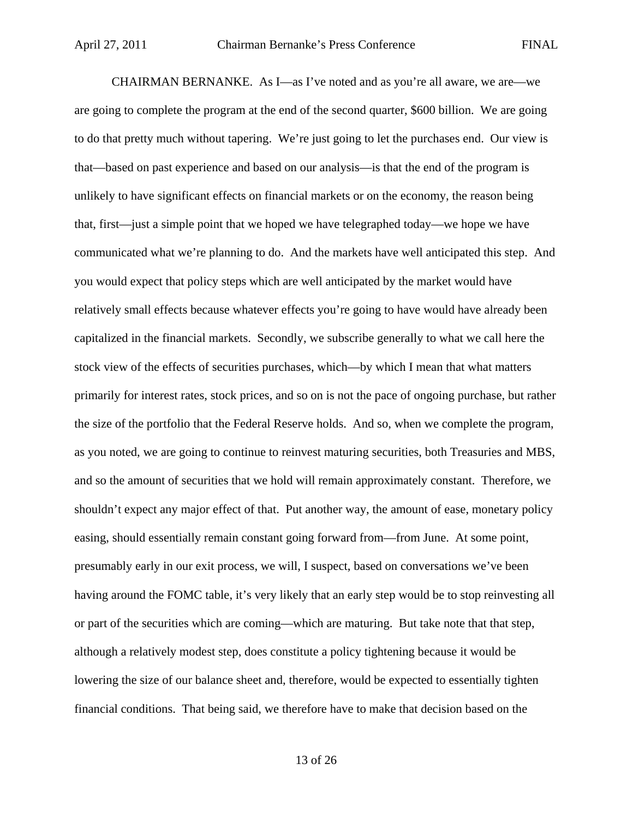CHAIRMAN BERNANKE. As I—as I've noted and as you're all aware, we are—we are going to complete the program at the end of the second quarter, \$600 billion. We are going to do that pretty much without tapering. We're just going to let the purchases end. Our view is that—based on past experience and based on our analysis—is that the end of the program is unlikely to have significant effects on financial markets or on the economy, the reason being that, first—just a simple point that we hoped we have telegraphed today—we hope we have communicated what we're planning to do. And the markets have well anticipated this step. And you would expect that policy steps which are well anticipated by the market would have relatively small effects because whatever effects you're going to have would have already been capitalized in the financial markets. Secondly, we subscribe generally to what we call here the stock view of the effects of securities purchases, which—by which I mean that what matters primarily for interest rates, stock prices, and so on is not the pace of ongoing purchase, but rather the size of the portfolio that the Federal Reserve holds. And so, when we complete the program, as you noted, we are going to continue to reinvest maturing securities, both Treasuries and MBS, and so the amount of securities that we hold will remain approximately constant. Therefore, we shouldn't expect any major effect of that. Put another way, the amount of ease, monetary policy easing, should essentially remain constant going forward from—from June. At some point, presumably early in our exit process, we will, I suspect, based on conversations we've been having around the FOMC table, it's very likely that an early step would be to stop reinvesting all or part of the securities which are coming—which are maturing. But take note that that step, although a relatively modest step, does constitute a policy tightening because it would be lowering the size of our balance sheet and, therefore, would be expected to essentially tighten financial conditions. That being said, we therefore have to make that decision based on the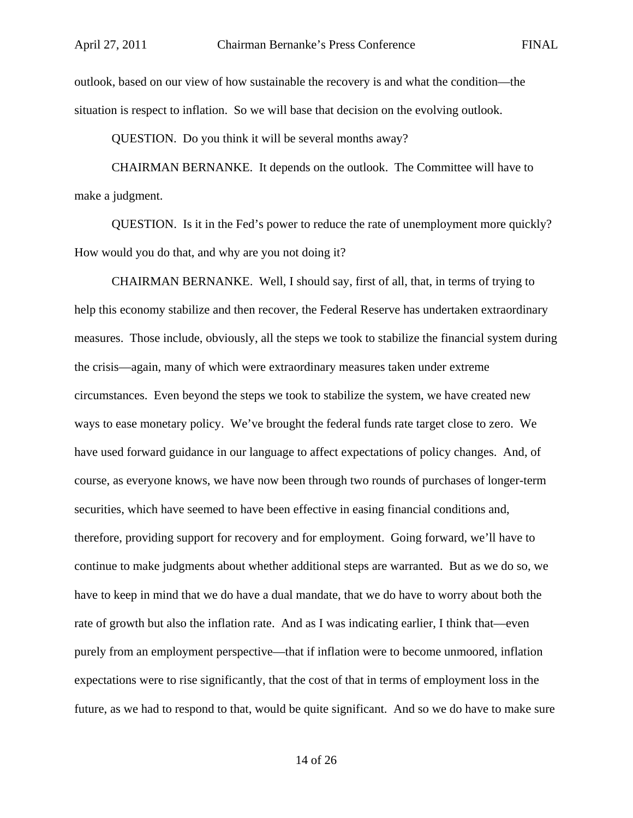outlook, based on our view of how sustainable the recovery is and what the condition—the situation is respect to inflation. So we will base that decision on the evolving outlook.

QUESTION. Do you think it will be several months away?

CHAIRMAN BERNANKE. It depends on the outlook. The Committee will have to make a judgment.

QUESTION. Is it in the Fed's power to reduce the rate of unemployment more quickly? How would you do that, and why are you not doing it?

CHAIRMAN BERNANKE. Well, I should say, first of all, that, in terms of trying to help this economy stabilize and then recover, the Federal Reserve has undertaken extraordinary measures. Those include, obviously, all the steps we took to stabilize the financial system during the crisis—again, many of which were extraordinary measures taken under extreme circumstances. Even beyond the steps we took to stabilize the system, we have created new ways to ease monetary policy. We've brought the federal funds rate target close to zero. We have used forward guidance in our language to affect expectations of policy changes. And, of course, as everyone knows, we have now been through two rounds of purchases of longer-term securities, which have seemed to have been effective in easing financial conditions and, therefore, providing support for recovery and for employment. Going forward, we'll have to continue to make judgments about whether additional steps are warranted. But as we do so, we have to keep in mind that we do have a dual mandate, that we do have to worry about both the rate of growth but also the inflation rate. And as I was indicating earlier, I think that—even purely from an employment perspective—that if inflation were to become unmoored, inflation expectations were to rise significantly, that the cost of that in terms of employment loss in the future, as we had to respond to that, would be quite significant. And so we do have to make sure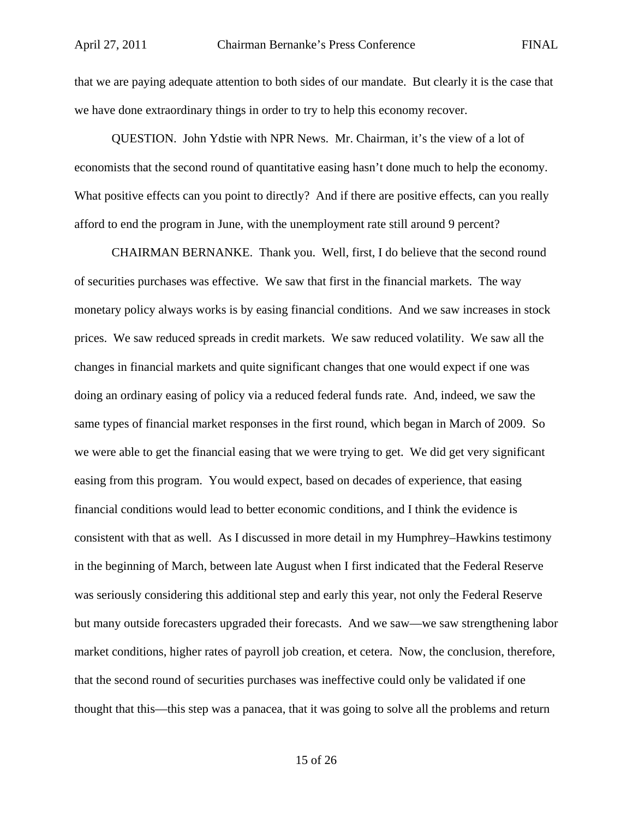that we are paying adequate attention to both sides of our mandate. But clearly it is the case that we have done extraordinary things in order to try to help this economy recover.

QUESTION. John Ydstie with NPR News. Mr. Chairman, it's the view of a lot of economists that the second round of quantitative easing hasn't done much to help the economy. What positive effects can you point to directly? And if there are positive effects, can you really afford to end the program in June, with the unemployment rate still around 9 percent?

CHAIRMAN BERNANKE. Thank you. Well, first, I do believe that the second round of securities purchases was effective. We saw that first in the financial markets. The way monetary policy always works is by easing financial conditions. And we saw increases in stock prices. We saw reduced spreads in credit markets. We saw reduced volatility. We saw all the changes in financial markets and quite significant changes that one would expect if one was doing an ordinary easing of policy via a reduced federal funds rate. And, indeed, we saw the same types of financial market responses in the first round, which began in March of 2009. So we were able to get the financial easing that we were trying to get. We did get very significant easing from this program. You would expect, based on decades of experience, that easing financial conditions would lead to better economic conditions, and I think the evidence is consistent with that as well. As I discussed in more detail in my Humphrey–Hawkins testimony in the beginning of March, between late August when I first indicated that the Federal Reserve was seriously considering this additional step and early this year, not only the Federal Reserve but many outside forecasters upgraded their forecasts. And we saw—we saw strengthening labor market conditions, higher rates of payroll job creation, et cetera. Now, the conclusion, therefore, that the second round of securities purchases was ineffective could only be validated if one thought that this—this step was a panacea, that it was going to solve all the problems and return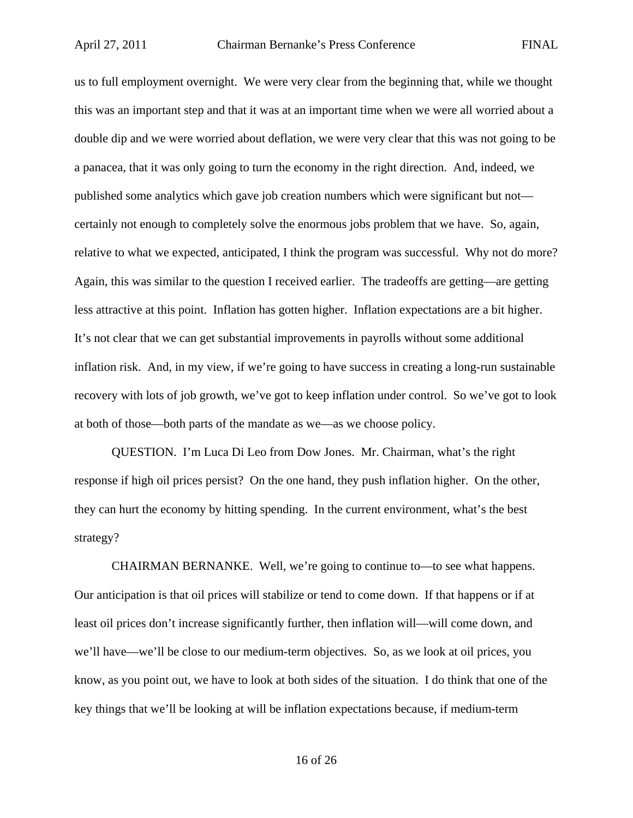us to full employment overnight. We were very clear from the beginning that, while we thought this was an important step and that it was at an important time when we were all worried about a double dip and we were worried about deflation, we were very clear that this was not going to be a panacea, that it was only going to turn the economy in the right direction. And, indeed, we published some analytics which gave job creation numbers which were significant but not certainly not enough to completely solve the enormous jobs problem that we have. So, again, relative to what we expected, anticipated, I think the program was successful. Why not do more? Again, this was similar to the question I received earlier. The tradeoffs are getting—are getting less attractive at this point. Inflation has gotten higher. Inflation expectations are a bit higher. It's not clear that we can get substantial improvements in payrolls without some additional inflation risk. And, in my view, if we're going to have success in creating a long-run sustainable recovery with lots of job growth, we've got to keep inflation under control. So we've got to look at both of those—both parts of the mandate as we—as we choose policy.

QUESTION. I'm Luca Di Leo from Dow Jones. Mr. Chairman, what's the right response if high oil prices persist? On the one hand, they push inflation higher. On the other, they can hurt the economy by hitting spending. In the current environment, what's the best strategy?

CHAIRMAN BERNANKE. Well, we're going to continue to—to see what happens. Our anticipation is that oil prices will stabilize or tend to come down. If that happens or if at least oil prices don't increase significantly further, then inflation will—will come down, and we'll have—we'll be close to our medium-term objectives. So, as we look at oil prices, you know, as you point out, we have to look at both sides of the situation. I do think that one of the key things that we'll be looking at will be inflation expectations because, if medium-term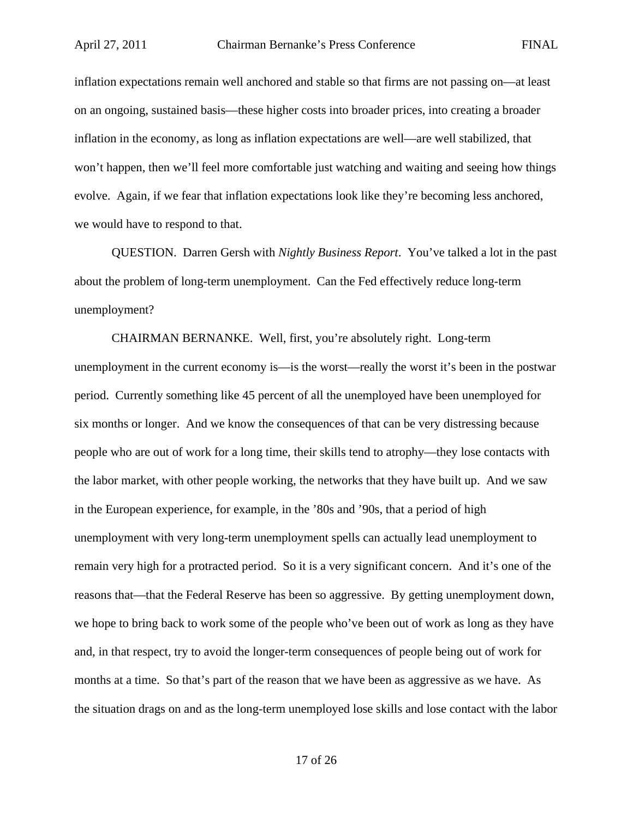inflation expectations remain well anchored and stable so that firms are not passing on—at least on an ongoing, sustained basis—these higher costs into broader prices, into creating a broader inflation in the economy, as long as inflation expectations are well—are well stabilized, that won't happen, then we'll feel more comfortable just watching and waiting and seeing how things evolve. Again, if we fear that inflation expectations look like they're becoming less anchored, we would have to respond to that.

QUESTION. Darren Gersh with *Nightly Business Report*. You've talked a lot in the past about the problem of long-term unemployment. Can the Fed effectively reduce long-term unemployment?

CHAIRMAN BERNANKE. Well, first, you're absolutely right. Long-term unemployment in the current economy is—is the worst—really the worst it's been in the postwar period. Currently something like 45 percent of all the unemployed have been unemployed for six months or longer. And we know the consequences of that can be very distressing because people who are out of work for a long time, their skills tend to atrophy—they lose contacts with the labor market, with other people working, the networks that they have built up. And we saw in the European experience, for example, in the '80s and '90s, that a period of high unemployment with very long-term unemployment spells can actually lead unemployment to remain very high for a protracted period. So it is a very significant concern. And it's one of the reasons that—that the Federal Reserve has been so aggressive. By getting unemployment down, we hope to bring back to work some of the people who've been out of work as long as they have and, in that respect, try to avoid the longer-term consequences of people being out of work for months at a time. So that's part of the reason that we have been as aggressive as we have. As the situation drags on and as the long-term unemployed lose skills and lose contact with the labor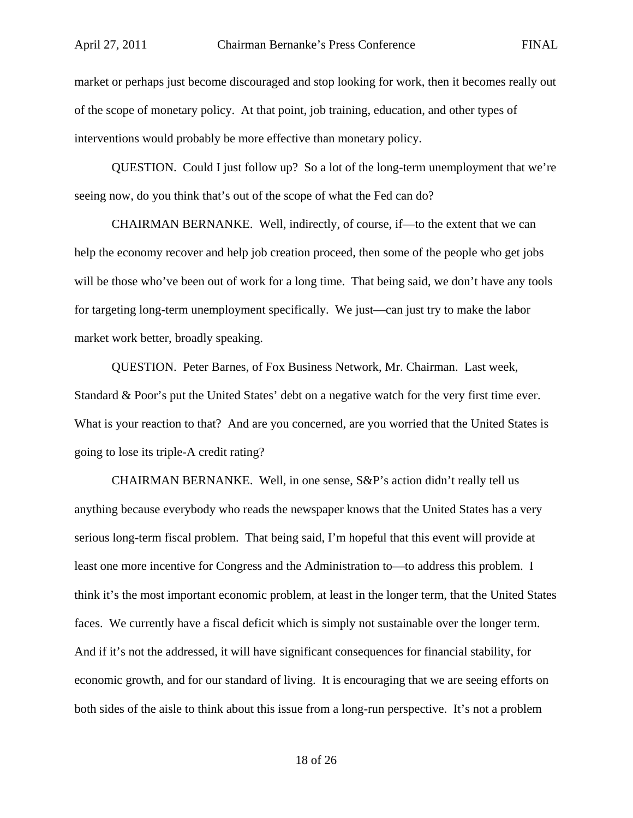market or perhaps just become discouraged and stop looking for work, then it becomes really out of the scope of monetary policy. At that point, job training, education, and other types of interventions would probably be more effective than monetary policy.

QUESTION. Could I just follow up? So a lot of the long-term unemployment that we're seeing now, do you think that's out of the scope of what the Fed can do?

CHAIRMAN BERNANKE. Well, indirectly, of course, if—to the extent that we can help the economy recover and help job creation proceed, then some of the people who get jobs will be those who've been out of work for a long time. That being said, we don't have any tools for targeting long-term unemployment specifically. We just—can just try to make the labor market work better, broadly speaking.

QUESTION. Peter Barnes, of Fox Business Network, Mr. Chairman. Last week, Standard & Poor's put the United States' debt on a negative watch for the very first time ever. What is your reaction to that? And are you concerned, are you worried that the United States is going to lose its triple-A credit rating?

CHAIRMAN BERNANKE. Well, in one sense, S&P's action didn't really tell us anything because everybody who reads the newspaper knows that the United States has a very serious long-term fiscal problem. That being said, I'm hopeful that this event will provide at least one more incentive for Congress and the Administration to—to address this problem. I think it's the most important economic problem, at least in the longer term, that the United States faces. We currently have a fiscal deficit which is simply not sustainable over the longer term. And if it's not the addressed, it will have significant consequences for financial stability, for economic growth, and for our standard of living. It is encouraging that we are seeing efforts on both sides of the aisle to think about this issue from a long-run perspective. It's not a problem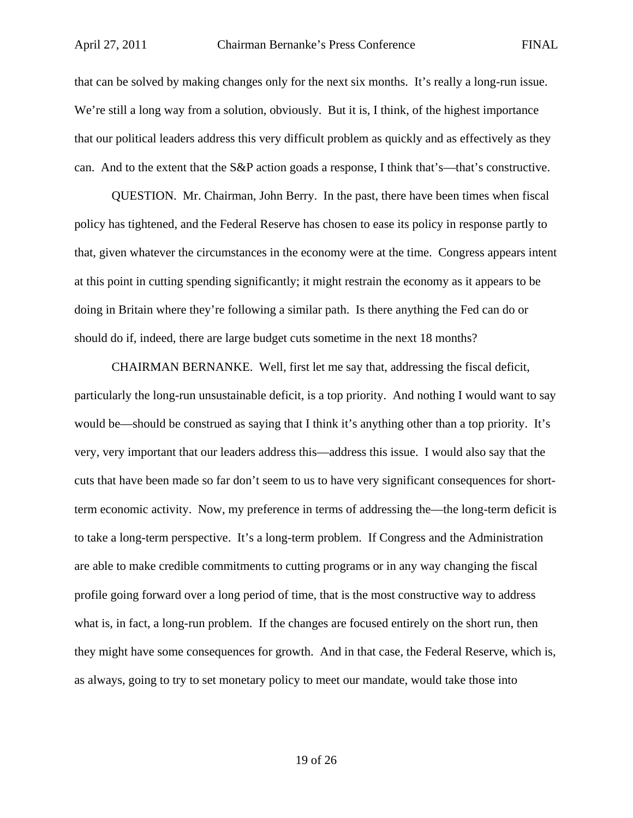that can be solved by making changes only for the next six months. It's really a long-run issue. We're still a long way from a solution, obviously. But it is, I think, of the highest importance that our political leaders address this very difficult problem as quickly and as effectively as they can. And to the extent that the S&P action goads a response, I think that's—that's constructive.

QUESTION. Mr. Chairman, John Berry. In the past, there have been times when fiscal policy has tightened, and the Federal Reserve has chosen to ease its policy in response partly to that, given whatever the circumstances in the economy were at the time. Congress appears intent at this point in cutting spending significantly; it might restrain the economy as it appears to be doing in Britain where they're following a similar path. Is there anything the Fed can do or should do if, indeed, there are large budget cuts sometime in the next 18 months?

CHAIRMAN BERNANKE. Well, first let me say that, addressing the fiscal deficit, particularly the long-run unsustainable deficit, is a top priority. And nothing I would want to say would be—should be construed as saying that I think it's anything other than a top priority. It's very, very important that our leaders address this—address this issue. I would also say that the cuts that have been made so far don't seem to us to have very significant consequences for shortterm economic activity. Now, my preference in terms of addressing the—the long-term deficit is to take a long-term perspective. It's a long-term problem. If Congress and the Administration are able to make credible commitments to cutting programs or in any way changing the fiscal profile going forward over a long period of time, that is the most constructive way to address what is, in fact, a long-run problem. If the changes are focused entirely on the short run, then they might have some consequences for growth. And in that case, the Federal Reserve, which is, as always, going to try to set monetary policy to meet our mandate, would take those into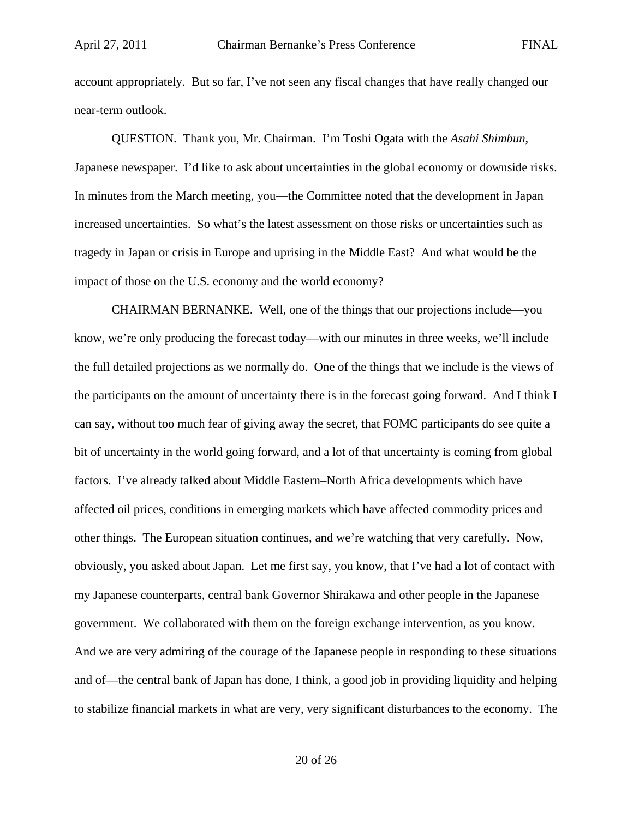account appropriately. But so far, I've not seen any fiscal changes that have really changed our near-term outlook.

QUESTION. Thank you, Mr. Chairman. I'm Toshi Ogata with the *Asahi Shimbun*, Japanese newspaper. I'd like to ask about uncertainties in the global economy or downside risks. In minutes from the March meeting, you—the Committee noted that the development in Japan increased uncertainties. So what's the latest assessment on those risks or uncertainties such as tragedy in Japan or crisis in Europe and uprising in the Middle East? And what would be the impact of those on the U.S. economy and the world economy?

CHAIRMAN BERNANKE. Well, one of the things that our projections include—you know, we're only producing the forecast today—with our minutes in three weeks, we'll include the full detailed projections as we normally do. One of the things that we include is the views of the participants on the amount of uncertainty there is in the forecast going forward. And I think I can say, without too much fear of giving away the secret, that FOMC participants do see quite a bit of uncertainty in the world going forward, and a lot of that uncertainty is coming from global factors. I've already talked about Middle Eastern–North Africa developments which have affected oil prices, conditions in emerging markets which have affected commodity prices and other things. The European situation continues, and we're watching that very carefully. Now, obviously, you asked about Japan. Let me first say, you know, that I've had a lot of contact with my Japanese counterparts, central bank Governor Shirakawa and other people in the Japanese government. We collaborated with them on the foreign exchange intervention, as you know. And we are very admiring of the courage of the Japanese people in responding to these situations and of—the central bank of Japan has done, I think, a good job in providing liquidity and helping to stabilize financial markets in what are very, very significant disturbances to the economy. The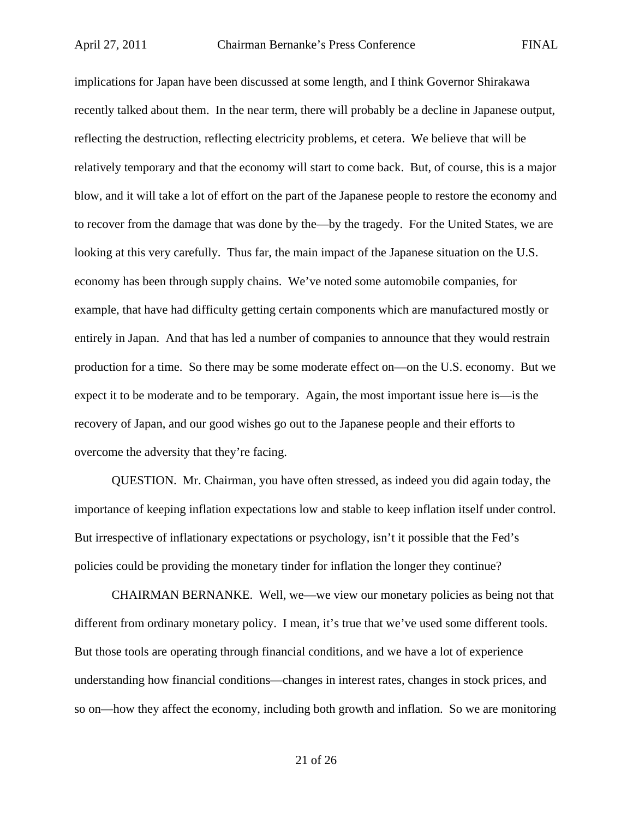implications for Japan have been discussed at some length, and I think Governor Shirakawa recently talked about them. In the near term, there will probably be a decline in Japanese output, reflecting the destruction, reflecting electricity problems, et cetera. We believe that will be relatively temporary and that the economy will start to come back. But, of course, this is a major blow, and it will take a lot of effort on the part of the Japanese people to restore the economy and to recover from the damage that was done by the—by the tragedy. For the United States, we are looking at this very carefully. Thus far, the main impact of the Japanese situation on the U.S. economy has been through supply chains. We've noted some automobile companies, for example, that have had difficulty getting certain components which are manufactured mostly or entirely in Japan. And that has led a number of companies to announce that they would restrain production for a time. So there may be some moderate effect on—on the U.S. economy. But we expect it to be moderate and to be temporary. Again, the most important issue here is—is the recovery of Japan, and our good wishes go out to the Japanese people and their efforts to overcome the adversity that they're facing.

QUESTION. Mr. Chairman, you have often stressed, as indeed you did again today, the importance of keeping inflation expectations low and stable to keep inflation itself under control. But irrespective of inflationary expectations or psychology, isn't it possible that the Fed's policies could be providing the monetary tinder for inflation the longer they continue?

CHAIRMAN BERNANKE. Well, we—we view our monetary policies as being not that different from ordinary monetary policy. I mean, it's true that we've used some different tools. But those tools are operating through financial conditions, and we have a lot of experience understanding how financial conditions—changes in interest rates, changes in stock prices, and so on—how they affect the economy, including both growth and inflation. So we are monitoring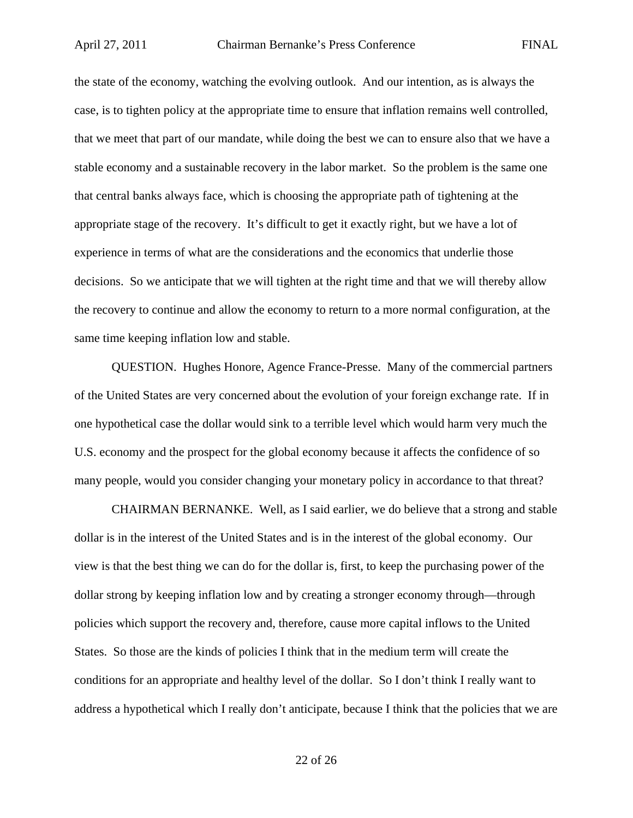the state of the economy, watching the evolving outlook. And our intention, as is always the case, is to tighten policy at the appropriate time to ensure that inflation remains well controlled, that we meet that part of our mandate, while doing the best we can to ensure also that we have a stable economy and a sustainable recovery in the labor market. So the problem is the same one that central banks always face, which is choosing the appropriate path of tightening at the appropriate stage of the recovery. It's difficult to get it exactly right, but we have a lot of experience in terms of what are the considerations and the economics that underlie those decisions. So we anticipate that we will tighten at the right time and that we will thereby allow the recovery to continue and allow the economy to return to a more normal configuration, at the same time keeping inflation low and stable.

QUESTION. Hughes Honore, Agence France-Presse. Many of the commercial partners of the United States are very concerned about the evolution of your foreign exchange rate. If in one hypothetical case the dollar would sink to a terrible level which would harm very much the U.S. economy and the prospect for the global economy because it affects the confidence of so many people, would you consider changing your monetary policy in accordance to that threat?

CHAIRMAN BERNANKE. Well, as I said earlier, we do believe that a strong and stable dollar is in the interest of the United States and is in the interest of the global economy. Our view is that the best thing we can do for the dollar is, first, to keep the purchasing power of the dollar strong by keeping inflation low and by creating a stronger economy through—through policies which support the recovery and, therefore, cause more capital inflows to the United States. So those are the kinds of policies I think that in the medium term will create the conditions for an appropriate and healthy level of the dollar. So I don't think I really want to address a hypothetical which I really don't anticipate, because I think that the policies that we are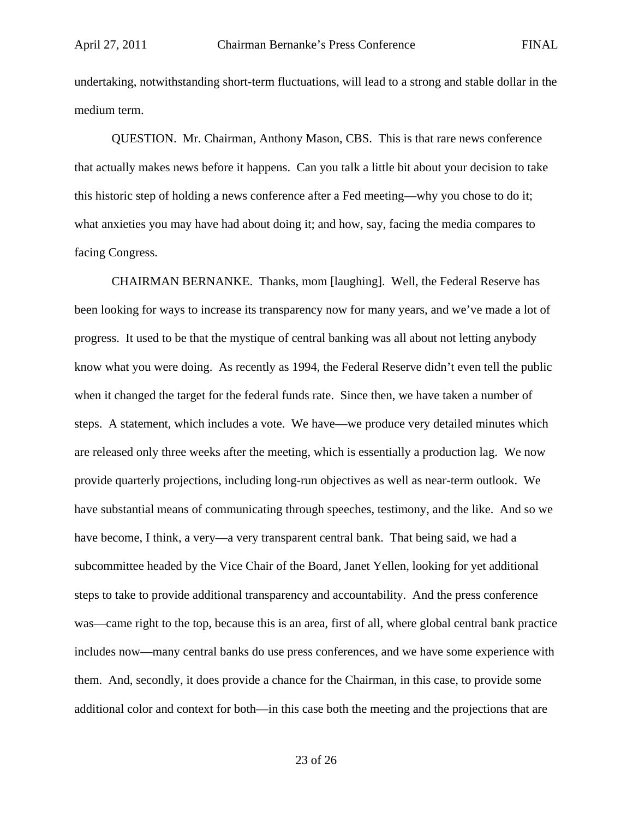undertaking, notwithstanding short-term fluctuations, will lead to a strong and stable dollar in the medium term.

QUESTION. Mr. Chairman, Anthony Mason, CBS. This is that rare news conference that actually makes news before it happens. Can you talk a little bit about your decision to take this historic step of holding a news conference after a Fed meeting—why you chose to do it; what anxieties you may have had about doing it; and how, say, facing the media compares to facing Congress.

CHAIRMAN BERNANKE. Thanks, mom [laughing]. Well, the Federal Reserve has been looking for ways to increase its transparency now for many years, and we've made a lot of progress. It used to be that the mystique of central banking was all about not letting anybody know what you were doing. As recently as 1994, the Federal Reserve didn't even tell the public when it changed the target for the federal funds rate. Since then, we have taken a number of steps. A statement, which includes a vote. We have—we produce very detailed minutes which are released only three weeks after the meeting, which is essentially a production lag. We now provide quarterly projections, including long-run objectives as well as near-term outlook. We have substantial means of communicating through speeches, testimony, and the like. And so we have become, I think, a very—a very transparent central bank. That being said, we had a subcommittee headed by the Vice Chair of the Board, Janet Yellen, looking for yet additional steps to take to provide additional transparency and accountability. And the press conference was—came right to the top, because this is an area, first of all, where global central bank practice includes now—many central banks do use press conferences, and we have some experience with them. And, secondly, it does provide a chance for the Chairman, in this case, to provide some additional color and context for both—in this case both the meeting and the projections that are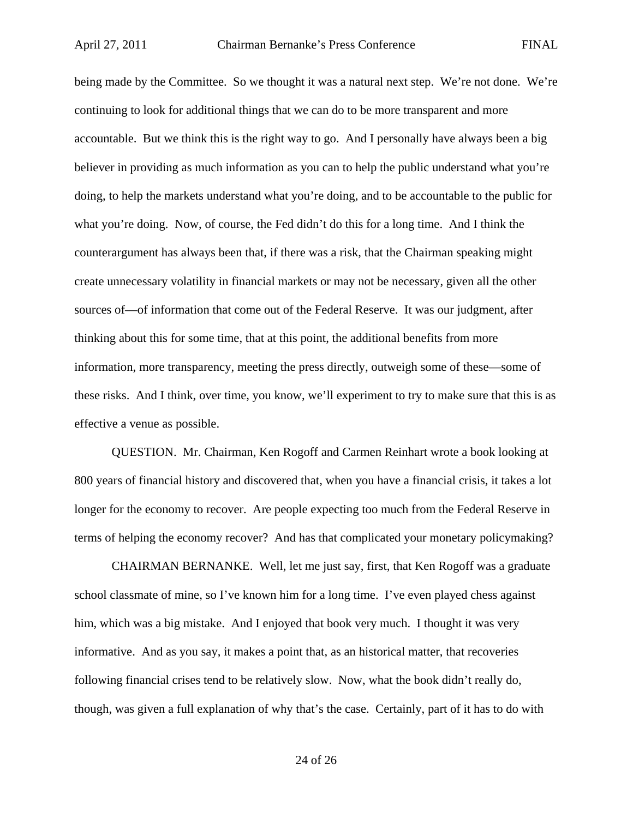being made by the Committee. So we thought it was a natural next step. We're not done. We're continuing to look for additional things that we can do to be more transparent and more accountable. But we think this is the right way to go. And I personally have always been a big believer in providing as much information as you can to help the public understand what you're doing, to help the markets understand what you're doing, and to be accountable to the public for what you're doing. Now, of course, the Fed didn't do this for a long time. And I think the counterargument has always been that, if there was a risk, that the Chairman speaking might create unnecessary volatility in financial markets or may not be necessary, given all the other sources of—of information that come out of the Federal Reserve. It was our judgment, after thinking about this for some time, that at this point, the additional benefits from more information, more transparency, meeting the press directly, outweigh some of these—some of these risks. And I think, over time, you know, we'll experiment to try to make sure that this is as effective a venue as possible.

QUESTION. Mr. Chairman, Ken Rogoff and Carmen Reinhart wrote a book looking at 800 years of financial history and discovered that, when you have a financial crisis, it takes a lot longer for the economy to recover. Are people expecting too much from the Federal Reserve in terms of helping the economy recover? And has that complicated your monetary policymaking?

CHAIRMAN BERNANKE. Well, let me just say, first, that Ken Rogoff was a graduate school classmate of mine, so I've known him for a long time. I've even played chess against him, which was a big mistake. And I enjoyed that book very much. I thought it was very informative. And as you say, it makes a point that, as an historical matter, that recoveries following financial crises tend to be relatively slow. Now, what the book didn't really do, though, was given a full explanation of why that's the case. Certainly, part of it has to do with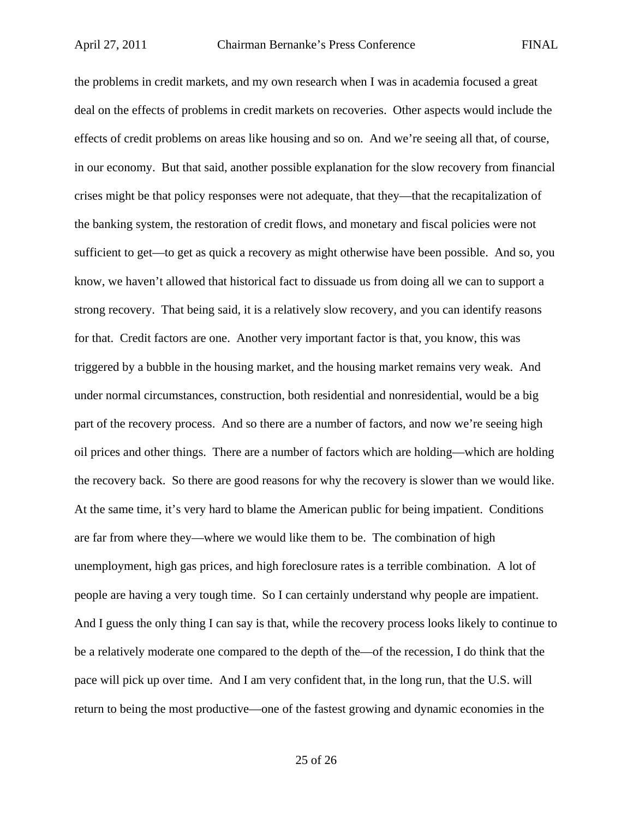the problems in credit markets, and my own research when I was in academia focused a great deal on the effects of problems in credit markets on recoveries. Other aspects would include the effects of credit problems on areas like housing and so on. And we're seeing all that, of course, in our economy. But that said, another possible explanation for the slow recovery from financial crises might be that policy responses were not adequate, that they—that the recapitalization of the banking system, the restoration of credit flows, and monetary and fiscal policies were not sufficient to get—to get as quick a recovery as might otherwise have been possible. And so, you know, we haven't allowed that historical fact to dissuade us from doing all we can to support a strong recovery. That being said, it is a relatively slow recovery, and you can identify reasons for that. Credit factors are one. Another very important factor is that, you know, this was triggered by a bubble in the housing market, and the housing market remains very weak. And under normal circumstances, construction, both residential and nonresidential, would be a big part of the recovery process. And so there are a number of factors, and now we're seeing high oil prices and other things. There are a number of factors which are holding—which are holding the recovery back. So there are good reasons for why the recovery is slower than we would like. At the same time, it's very hard to blame the American public for being impatient. Conditions are far from where they—where we would like them to be. The combination of high unemployment, high gas prices, and high foreclosure rates is a terrible combination. A lot of people are having a very tough time. So I can certainly understand why people are impatient. And I guess the only thing I can say is that, while the recovery process looks likely to continue to be a relatively moderate one compared to the depth of the—of the recession, I do think that the pace will pick up over time. And I am very confident that, in the long run, that the U.S. will return to being the most productive—one of the fastest growing and dynamic economies in the